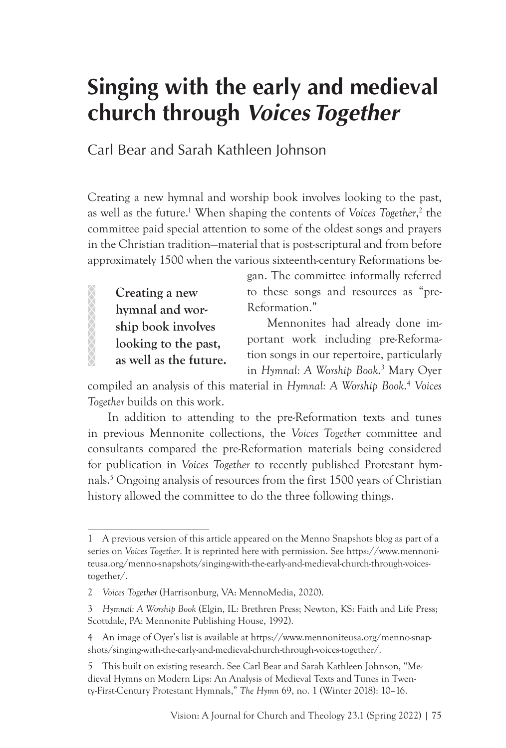# **Singing with the early and medieval church through** *Voices Together*

Carl Bear and Sarah Kathleen Johnson

Creating a new hymnal and worship book involves looking to the past, as well as the future.<sup>1</sup> When shaping the contents of *Voices Together*,<sup>2</sup> the committee paid special attention to some of the oldest songs and prayers in the Christian tradition—material that is post-scriptural and from before approximately 1500 when the various sixteenth-century Reformations be-

**Creating a new hymnal and worship book involves looking to the past, as well as the future.**

 $8888888$ 

gan. The committee informally referred to these songs and resources as "pre-Reformation."

Mennonites had already done important work including pre-Reformation songs in our repertoire, particularly in *Hymnal: A Worship Book*. 3 Mary Oyer

compiled an analysis of this material in *Hymnal: A Worship Book*. <sup>4</sup> *Voices Together* builds on this work.

In addition to attending to the pre-Reformation texts and tunes in previous Mennonite collections, the *Voices Together* committee and consultants compared the pre-Reformation materials being considered for publication in *Voices Together* to recently published Protestant hymnals.5 Ongoing analysis of resources from the first 1500 years of Christian history allowed the committee to do the three following things.

<sup>1</sup> A previous version of this article appeared on the Menno Snapshots blog as part of a series on *Voices Together*. It is reprinted here with permission. See https://www.mennoniteusa.org/menno-snapshots/singing-with-the-early-and-medieval-church-through-voicestogether/.

<sup>2</sup> *Voices Together* (Harrisonburg, VA: MennoMedia, 2020).

<sup>3</sup> *Hymnal: A Worship Book* (Elgin, IL: Brethren Press; Newton, KS: Faith and Life Press; Scottdale, PA: Mennonite Publishing House, 1992).

<sup>4</sup> An image of Oyer's list is available at https://www.mennoniteusa.org/menno-snapshots/singing-with-the-early-and-medieval-church-through-voices-together/.

<sup>5</sup> This built on existing research. See Carl Bear and Sarah Kathleen Johnson, "Medieval Hymns on Modern Lips: An Analysis of Medieval Texts and Tunes in Twenty-First-Century Protestant Hymnals," *The Hymn* 69, no. 1 (Winter 2018): 10–16.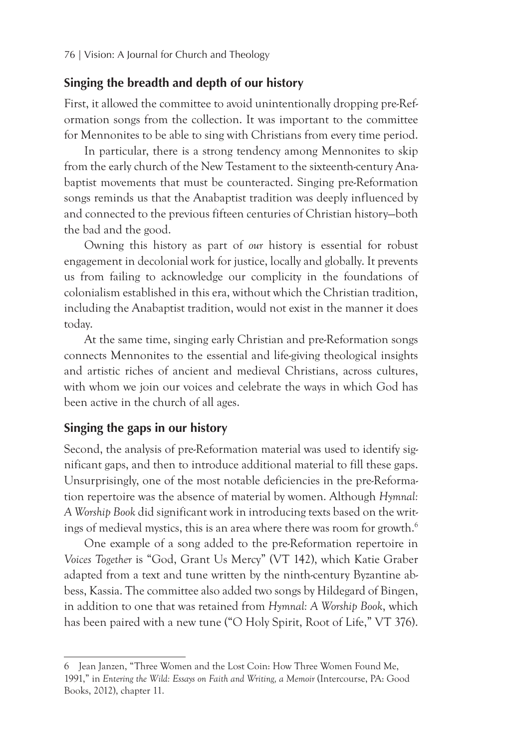#### **Singing the breadth and depth of our history**

First, it allowed the committee to avoid unintentionally dropping pre-Reformation songs from the collection. It was important to the committee for Mennonites to be able to sing with Christians from every time period.

In particular, there is a strong tendency among Mennonites to skip from the early church of the New Testament to the sixteenth-century Anabaptist movements that must be counteracted. Singing pre-Reformation songs reminds us that the Anabaptist tradition was deeply influenced by and connected to the previous fifteen centuries of Christian history—both the bad and the good.

Owning this history as part of *our* history is essential for robust engagement in decolonial work for justice, locally and globally. It prevents us from failing to acknowledge our complicity in the foundations of colonialism established in this era, without which the Christian tradition, including the Anabaptist tradition, would not exist in the manner it does today.

At the same time, singing early Christian and pre-Reformation songs connects Mennonites to the essential and life-giving theological insights and artistic riches of ancient and medieval Christians, across cultures, with whom we join our voices and celebrate the ways in which God has been active in the church of all ages.

## **Singing the gaps in our history**

Second, the analysis of pre-Reformation material was used to identify significant gaps, and then to introduce additional material to fill these gaps. Unsurprisingly, one of the most notable deficiencies in the pre-Reformation repertoire was the absence of material by women. Although *Hymnal: A Worship Book* did significant work in introducing texts based on the writings of medieval mystics, this is an area where there was room for growth.<sup>6</sup>

One example of a song added to the pre-Reformation repertoire in *Voices Together* is "God, Grant Us Mercy" (VT 142), which Katie Graber adapted from a text and tune written by the ninth-century Byzantine abbess, Kassia. The committee also added two songs by Hildegard of Bingen, in addition to one that was retained from *Hymnal: A Worship Book*, which has been paired with a new tune ("O Holy Spirit, Root of Life," VT 376).

<sup>6</sup> Jean Janzen, "Three Women and the Lost Coin: How Three Women Found Me, 1991," in *Entering the Wild: Essays on Faith and Writing, a Memoir* (Intercourse, PA: Good Books, 2012), chapter 11.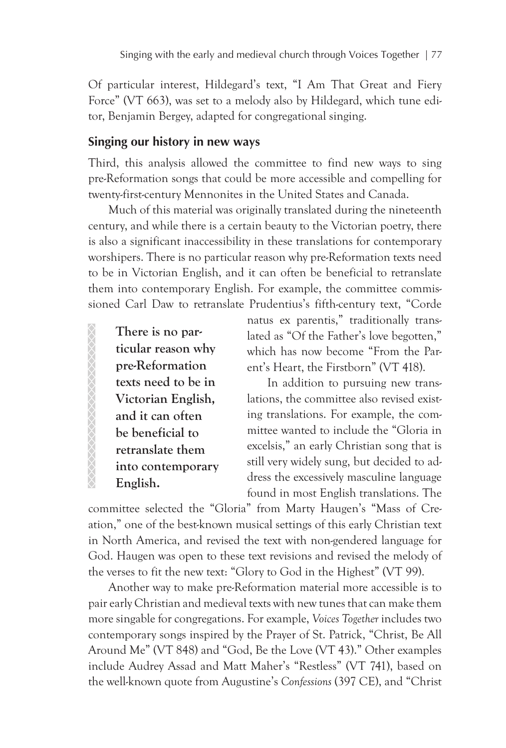Of particular interest, Hildegard's text, "I Am That Great and Fiery Force" (VT 663), was set to a melody also by Hildegard, which tune editor, Benjamin Bergey, adapted for congregational singing.

#### **Singing our history in new ways**

Third, this analysis allowed the committee to find new ways to sing pre-Reformation songs that could be more accessible and compelling for twenty-first-century Mennonites in the United States and Canada.

Much of this material was originally translated during the nineteenth century, and while there is a certain beauty to the Victorian poetry, there is also a significant inaccessibility in these translations for contemporary worshipers. There is no particular reason why pre-Reformation texts need to be in Victorian English, and it can often be beneficial to retranslate them into contemporary English. For example, the committee commissioned Carl Daw to retranslate Prudentius's fifth-century text, "Corde

**There is no particular reason why pre-Reformation texts need to be in Victorian English, and it can often be beneficial to retranslate them into contemporary English.**

XXXXXXXXXXXXXXXXXX

natus ex parentis," traditionally translated as "Of the Father's love begotten," which has now become "From the Parent's Heart, the Firstborn" (VT 418).

In addition to pursuing new translations, the committee also revised existing translations. For example, the committee wanted to include the "Gloria in excelsis," an early Christian song that is still very widely sung, but decided to address the excessively masculine language found in most English translations. The

committee selected the "Gloria" from Marty Haugen's "Mass of Creation," one of the best-known musical settings of this early Christian text in North America, and revised the text with non-gendered language for God. Haugen was open to these text revisions and revised the melody of the verses to fit the new text: "Glory to God in the Highest" (VT 99).

Another way to make pre-Reformation material more accessible is to pair early Christian and medieval texts with new tunes that can make them more singable for congregations. For example, *Voices Together* includes two contemporary songs inspired by the Prayer of St. Patrick, "Christ, Be All Around Me" (VT 848) and "God, Be the Love (VT 43)." Other examples include Audrey Assad and Matt Maher's "Restless" (VT 741), based on the well-known quote from Augustine's *Confessions* (397 CE), and "Christ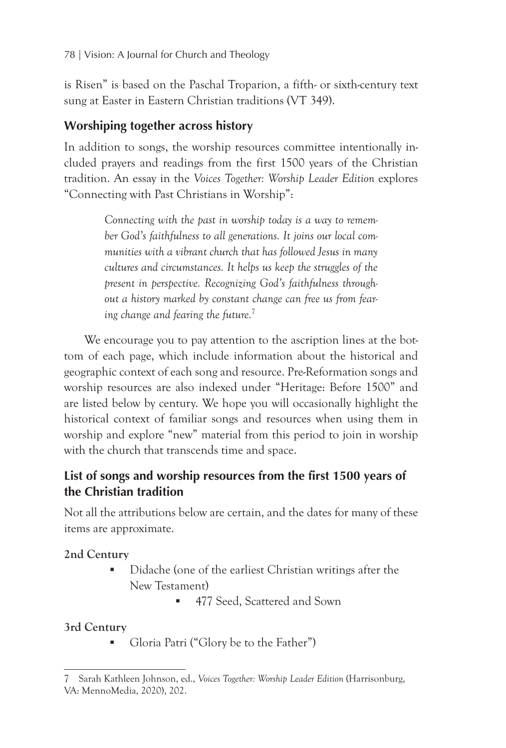is Risen" is based on the Paschal Troparion, a fifth- or sixth-century text sung at Easter in Eastern Christian traditions (VT 349).

## **Worshiping together across history**

In addition to songs, the worship resources committee intentionally included prayers and readings from the first 1500 years of the Christian tradition. An essay in the *Voices Together: Worship Leader Edition* explores "Connecting with Past Christians in Worship":

> *Connecting with the past in worship today is a way to remember God's faithfulness to all generations. It joins our local communities with a vibrant church that has followed Jesus in many cultures and circumstances. It helps us keep the struggles of the present in perspective. Recognizing God's faithfulness throughout a history marked by constant change can free us from fearing change and fearing the future.*<sup>7</sup>

We encourage you to pay attention to the ascription lines at the bottom of each page, which include information about the historical and geographic context of each song and resource. Pre-Reformation songs and worship resources are also indexed under "Heritage: Before 1500" and are listed below by century. We hope you will occasionally highlight the historical context of familiar songs and resources when using them in worship and explore "new" material from this period to join in worship with the church that transcends time and space.

# **List of songs and worship resources from the first 1500 years of the Christian tradition**

Not all the attributions below are certain, and the dates for many of these items are approximate.

## **2nd Century**

- Didache (one of the earliest Christian writings after the New Testament)
	- 477 Seed, Scattered and Sown

## **3rd Century**

Gloria Patri ("Glory be to the Father")

<sup>7</sup> Sarah Kathleen Johnson, ed., *Voices Together: Worship Leader Edition* (Harrisonburg, VA: MennoMedia, 2020), 202.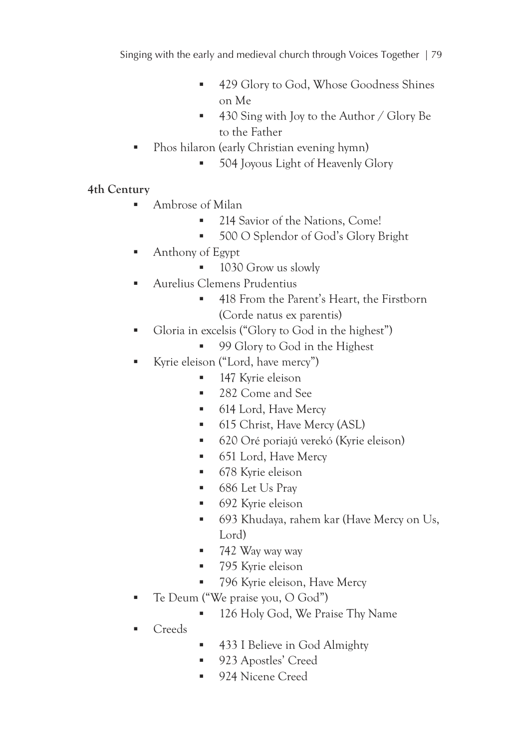- 429 Glory to God, Whose Goodness Shines on Me
- 430 Sing with Joy to the Author / Glory Be to the Father
- Phos hilaron (early Christian evening hymn)
	- **504 Joyous Light of Heavenly Glory**

- Ambrose of Milan
	- <sup>214</sup> Savior of the Nations, Come!
	- 500 O Splendor of God's Glory Bright
- Anthony of Egypt
	- 1030 Grow us slowly
- Aurelius Clemens Prudentius
	- 418 From the Parent's Heart, the Firstborn (Corde natus ex parentis)
- Gloria in excelsis ("Glory to God in the highest")
	- 99 Glory to God in the Highest
- Kyrie eleison ("Lord, have mercy")
	- **147** Kyrie eleison
	- 282 Come and See
	- 614 Lord, Have Mercy
	- 615 Christ, Have Mercy (ASL)
	- 620 Oré poriajú verekó (Kyrie eleison)
	- 651 Lord, Have Mercy
	- 678 Kyrie eleison
	- 686 Let Us Pray
	- 692 Kyrie eleison
	- 693 Khudaya, rahem kar (Have Mercy on Us, Lord)
	- 742 Way way way
	- 795 Kyrie eleison
	- 796 Kyrie eleison, Have Mercy
- Te Deum ("We praise you, O God")
	- 126 Holy God, We Praise Thy Name
- **Creeds**
- 433 I Believe in God Almighty
- 923 Apostles' Creed
- 924 Nicene Creed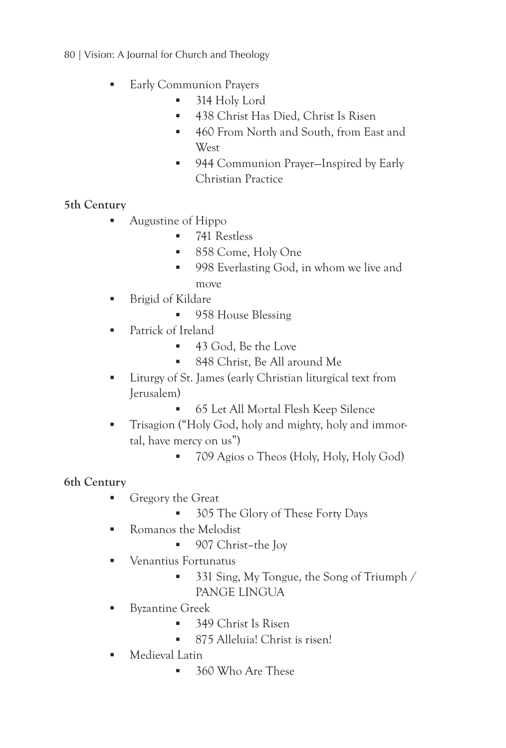80 | Vision: A Journal for Church and Theology

- **Early Communion Prayers** 
	- 314 Holy Lord
	- **438 Christ Has Died, Christ Is Risen**
	- 460 From North and South, from East and **West**
	- 944 Communion Prayer–Inspired by Early Christian Practice

## **5th Century**

- **Augustine of Hippo** 
	- 741 Restless
	- 858 Come, Holy One
	- 998 Everlasting God, in whom we live and move
- Brigid of Kildare
	- 958 House Blessing
- **Patrick of Ireland** 
	- $-43$  God, Be the Love
	- 848 Christ, Be All around Me
- **Liturgy of St. James (early Christian liturgical text from** Jerusalem)
	- **65 Let All Mortal Flesh Keep Silence**
- **Trisagion ("Holy God, holy and mighty, holy and immor**tal, have mercy on us")
	- 709 Agios o Theos (Holy, Holy, Holy God)

- Gregory the Great
	- 305 The Glory of These Forty Days
- **Romanos** the Melodist
	- 907 Christ-the Joy
- Venantius Fortunatus
	- 331 Sing, My Tongue, the Song of Triumph / PANGE LINGUA
- **Byzantine Greek** 
	- 349 Christ Is Risen
	- 875 Alleluia! Christ is risen!
- **Medieval Latin** 
	- 360 Who Are These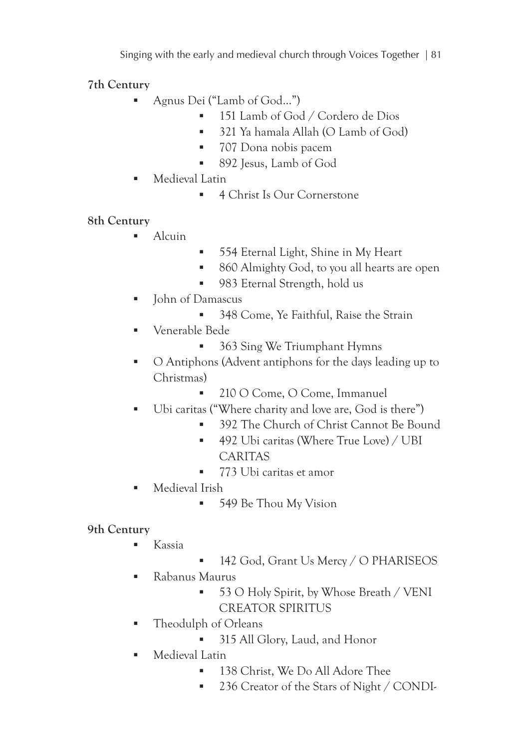Singing with the early and medieval church through Voices Together | 81

**7th Century**

- Agnus Dei ("Lamb of God…")
	- **151 Lamb of God / Cordero de Dios**
	- 321 Ya hamala Allah (O Lamb of God)
	- 707 Dona nobis pacem
	- 892 Jesus, Lamb of God
- Medieval Latin
	- 4 Christ Is Our Cornerstone

**8th Century**

- $\blacksquare$  Alcuin
- 554 Eternal Light, Shine in My Heart
- 860 Almighty God, to you all hearts are open
- 983 Eternal Strength, hold us
- **John of Damascus** 
	- 348 Come, Ye Faithful, Raise the Strain
- Venerable Bede
	- 363 Sing We Triumphant Hymns
- O Antiphons (Advent antiphons for the days leading up to Christmas)
	- 210 O Come, O Come, Immanuel
- Ubi caritas ("Where charity and love are, God is there")
	- <sup>392</sup> The Church of Christ Cannot Be Bound
	- <sup>492</sup> Ubi caritas (Where True Love) / UBI CARITAS
	- 773 Ubi caritas et amor
- Medieval Irish
	- 549 Be Thou My Vision

- $\blacksquare$  Kassia
- 142 God, Grant Us Mercy / O PHARISEOS
- Rabanus Maurus
	- 53 O Holy Spirit, by Whose Breath / VENI CREATOR SPIRITUS
- Theodulph of Orleans
	- 315 All Glory, Laud, and Honor
- **Medieval Latin** 
	- 138 Christ, We Do All Adore Thee
	- <sup>236</sup> Creator of the Stars of Night / CONDI-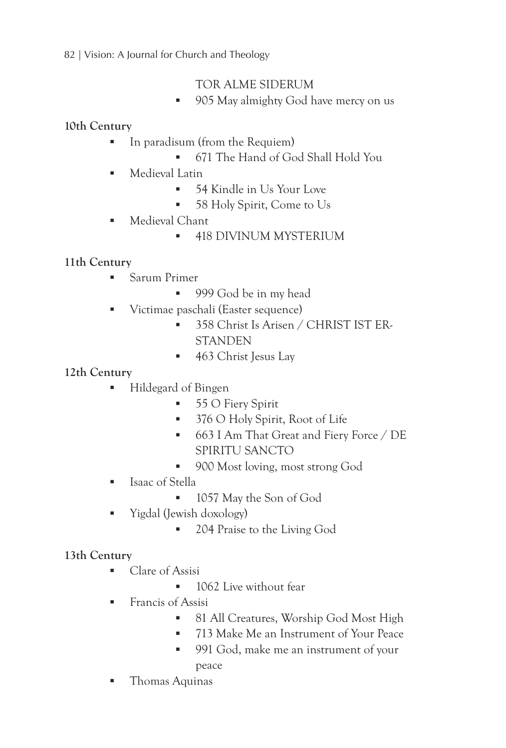#### 82 | Vision: A Journal for Church and Theology

## TOR ALME SIDERUM

■ 905 May almighty God have mercy on us

## **10th Century**

- In paradisum (from the Requiem)
	- 671 The Hand of God Shall Hold You
- **Medieval Latin** 
	- 54 Kindle in Us Your Love
	- 58 Holy Spirit, Come to Us
- **Medieval Chant** 
	- **418 DIVINUM MYSTERIUM**

## **11th Century**

- **Sarum Primer** 
	- 999 God be in my head
- Victimae paschali (Easter sequence)
	- 358 Christ Is Arisen / CHRIST IST ER-**STANDEN**
	- 463 Christ Jesus Lay

## **12th Century**

- Hildegard of Bingen
	- 55 O Fiery Spirit
	- <sup>376</sup> O Holy Spirit, Root of Life
	- 663 I Am That Great and Fiery Force / DE SPIRITU SANCTO
	- 900 Most loving, most strong God
- **Isaac of Stella** 
	- **1057** May the Son of God
- Yigdal (Jewish doxology)
	- **204 Praise to the Living God**

- Clare of Assisi
	- **1062** Live without fear
- **Francis of Assisi** 
	- <sup>81</sup> All Creatures, Worship God Most High
	- <sup>2</sup> 713 Make Me an Instrument of Your Peace
	- 991 God, make me an instrument of your peace
- **Thomas Aquinas**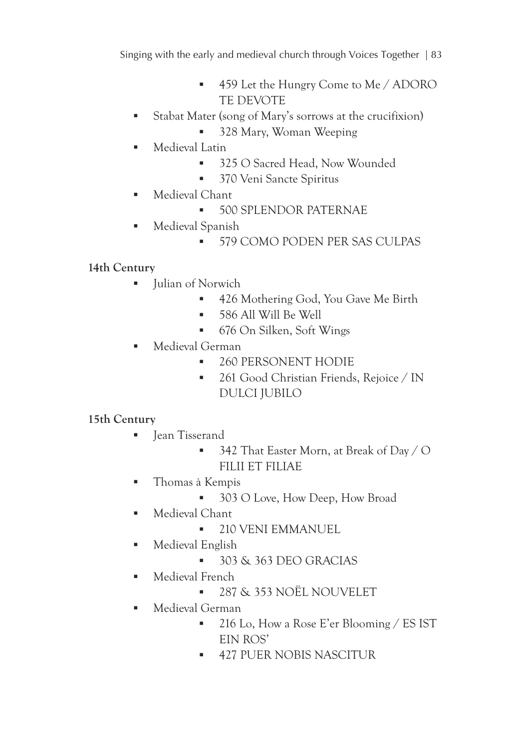Singing with the early and medieval church through Voices Together | 83

- 459 Let the Hungry Come to Me / ADORO TE DEVOTE
- Stabat Mater (song of Mary's sorrows at the crucifixion)
	- 328 Mary, Woman Weeping
- **Medieval Latin** 
	- 325 O Sacred Head, Now Wounded
	- **370 Veni Sancte Spiritus**
- **Medieval Chant** 
	- **500 SPLENDOR PATERNAE**
- **Medieval Spanish** 
	- **579 COMO PODEN PER SAS CULPAS**

## **14th Century**

- Ulian of Norwich
	- 426 Mothering God, You Gave Me Birth
	- **586 All Will Be Well**
	- 676 On Silken, Soft Wings
- Medieval German
	- 260 PERSONENT HODIE
	- 261 Good Christian Friends, Rejoice / IN DULCI JUBILO

- **I** Jean Tisserand
	- $\blacksquare$  342 That Easter Morn, at Break of Day / O FILII ET FILIAE
- Thomas à Kempis
	- 303 O Love, How Deep, How Broad
- **Medieval Chant** 
	- **210 VENI EMMANUEL**
- **Medieval English** 
	- $-303 \& 363$  DEO GRACIAS
- **Medieval French** 
	- 287 & 353 NOËL NOUVELET
- Medieval German
	- 216 Lo, How a Rose E'er Blooming / ES IST EIN ROS'
	- **427 PUER NOBIS NASCITUR**